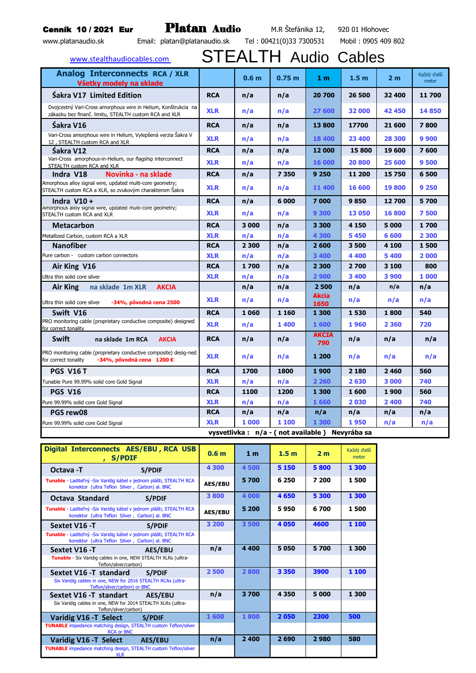## Cenník 10 / 2021 Eur **Platan Audio** M.R Štefánika 12, 920 01 Hlohovec

| Email: platan@platanaudio.sk Tel: 00421(0)33 7300531<br>www.platanaudio.sk                                               |            |                  |                   |                      | Mobil: 0905 409 802 |                |                      |  |
|--------------------------------------------------------------------------------------------------------------------------|------------|------------------|-------------------|----------------------|---------------------|----------------|----------------------|--|
| <b>STEALTH Audio Cables</b><br>www.stealthaudiocables.com                                                                |            |                  |                   |                      |                     |                |                      |  |
| <b>Analog Interconnects RCA / XLR</b><br>Všetky modely na sklade                                                         |            | 0.6 <sub>m</sub> | 0.75 <sub>m</sub> | 1 <sub>m</sub>       | 1.5 <sub>m</sub>    | 2 <sub>m</sub> | Každý ďalší<br>meter |  |
| <b>Sakra V17 Limited Edition</b>                                                                                         | <b>RCA</b> | n/a              | n/a               | 20 700               | 26 500              | 32 400         | 11 700               |  |
| Dvojcestný Vari-Cross amorphous wire in Helium, Konštrukcia na<br>zákazku bez finanč. limitu, STEALTH custom RCA and XLR | <b>XLR</b> | n/a              | n/a               | 27 600               | 32 000              | 42 450         | 14850                |  |
| Šakra V16                                                                                                                | <b>RCA</b> | n/a              | n/a               | 13800                | 17700               | 21 600         | 7800                 |  |
| Vari-Cross amorphous wire in Helium, Vylepšená verzia Šakra V<br>12, STEALTH custom RCA and XLR                          | <b>XLR</b> | n/a              | n/a               | 18 400               | 23 400              | 28 300         | 9900                 |  |
| Śakra V12                                                                                                                | <b>RCA</b> | n/a              | n/a               | 12000                | 15800               | 19 600         | 7600                 |  |
| Vari-Cross amorphous-in-Helium, our flagship interconnect<br>STEALTH custom RCA and XLR                                  | <b>XLR</b> | n/a              | n/a               | 16 000               | 20 800              | 25 600         | 9500                 |  |
| Indra V18<br>Novinka - na sklade                                                                                         | <b>RCA</b> | n/a              | 7350              | 9 2 5 0              | 11 200              | 15750          | 6500                 |  |
| Amorphous alloy signal wire, updated multi-core geometry;<br>STEALTH custom RCA a XLR, so zvukovým charakterom Šakra     | <b>XLR</b> | n/a              | n/a               | 11 400               | 16 600              | 19800          | 9 2 5 0              |  |
| Indra $V10 +$                                                                                                            | <b>RCA</b> | n/a              | 6 000             | 7000                 | 9850                | 12700          | 5700                 |  |
| Amorphous alloy signal wire, updated multi-core geometry;<br>STEALTH custom RCA and XLR                                  | <b>XLR</b> | n/a              | n/a               | 9 300                | 13 050              | 16800          | 7500                 |  |
| <b>Metacarbon</b>                                                                                                        | <b>RCA</b> | 3 000            | n/a               | 3 3 0 0              | 4 1 5 0             | 5 000          | 1700                 |  |
| Metallized Carbon, custom RCA a XLR                                                                                      | <b>XLR</b> | n/a              | n/a               | 4 300                | 5450                | 6 600          | 2 3 0 0              |  |
| <b>Nanofiber</b>                                                                                                         | <b>RCA</b> | 2 300            | n/a               | 2600                 | 3500                | 4 100          | 1500                 |  |
| Pure carbon - custom carbon connectors                                                                                   | <b>XLR</b> | n/a              | n/a               | 3 4 0 0              | 4 4 0 0             | 5400           | 2000                 |  |
| Air King V16                                                                                                             | <b>RCA</b> | 1700             | n/a               | 2 3 0 0              | 2700                | 3 100          | 800                  |  |
| Ultra thin solid core silver                                                                                             | <b>XLR</b> | n/a              | n/a               | 2 9 0 0              | 3 4 0 0             | 3 900          | 1 000                |  |
| <b>Air King</b><br>na sklade 1m XLR<br><b>AKCIA</b>                                                                      |            | n/a              | n/a               | 2500                 | n/a                 | n/a            | n/a                  |  |
| Ultra thin solid core silver<br>-34%, pôvodná cena 2500                                                                  | <b>XLR</b> | n/a              | n/a               | <b>Akcia</b><br>1650 | n/a                 | n/a            | n/a                  |  |
| Swift V16                                                                                                                | <b>RCA</b> | 1 0 6 0          | 1 1 6 0           | 1 300                | 1530                | 1800           | 540                  |  |
| PRO monitoring cable (proprietary conductive composite) designed<br>for correct tonality                                 | <b>XLR</b> | n/a              | 1400              | 1600                 | 1960                | 2 3 6 0        | 720                  |  |
| $C_{2}$ .: $44$<br>and all and a strong the strong                                                                       | <b>DCA</b> | n/a              | n/a               | <b>AKCIA</b>         | n/a                 | n/a            | $\mathbf{u}$         |  |

| PRO THOMICO ING Cable (proprietary conductive composite) designed<br>for correct tonality                              | <b>XLR</b> | n/a   | 1400                                                                                                           | 1600                | 1960    | 2 3 6 0 | 720 |
|------------------------------------------------------------------------------------------------------------------------|------------|-------|----------------------------------------------------------------------------------------------------------------|---------------------|---------|---------|-----|
| <b>Swift</b><br>na sklade 1m RCA<br><b>AKCIA</b>                                                                       | <b>RCA</b> | n/a   | n/a                                                                                                            | <b>AKCIA</b><br>790 | n/a     | n/a     | n/a |
| PRO monitoring cable (proprietary conductive composite) desig-ned<br>-34%, pôvodná cena 1200 €<br>for correct tonality | <b>XLR</b> | n/a   | n/a                                                                                                            | 1 200               | n/a     | n/a     | n/a |
| <b>PGS V16 T</b>                                                                                                       | <b>RCA</b> | 1700  | 1800                                                                                                           | 1900                | 2 1 8 0 | 2460    | 560 |
| Tunable Pure 99.99% solid core Gold Signal                                                                             | <b>XLR</b> | n/a   | n/a                                                                                                            | 2 2 6 0             | 2630    | 3 000   | 740 |
| <b>PGS V16</b>                                                                                                         | <b>RCA</b> | 1100  | 1200                                                                                                           | 1 300               | 1600    | 1900    | 560 |
| Pure 99.99% solid core Gold Signal                                                                                     | <b>XLR</b> | n/a   | n/a                                                                                                            | 1660                | 2030    | 2400    | 740 |
| PGS rew08                                                                                                              | <b>RCA</b> | n/a   | n/a                                                                                                            | n/a                 | n/a     | n/a     | n/a |
| Pure 99.99% solid core Gold Signal                                                                                     | <b>XLR</b> | 1 000 | 1 100                                                                                                          | 1 300               | 1950    | n/a     | n/a |
|                                                                                                                        |            |       | and the state of the state of the state of the state of the state of the state of the state of the state of th |                     |         |         |     |

 **vysvetlivka : n/a - ( not available ) Nevyrába sa** 

| Digital Interconnects AES/EBU, RCA USB<br>, S/PDIF                                                                    |                | 0.6 <sub>m</sub> | 1 <sub>m</sub> | 1.5 <sub>m</sub> | 2 <sub>m</sub> | Každý ďalší<br>meter |
|-----------------------------------------------------------------------------------------------------------------------|----------------|------------------|----------------|------------------|----------------|----------------------|
| Octava - T                                                                                                            | <b>S/PDIF</b>  | 4 300            | 4500           | 5 1 5 0          | 5800           | 1 300                |
| Tunable - Laditeľný -Six Varidig kábel v jednom plášti, STEALTH RCA<br>konektor (ultra Teflon Silver, Carbon) al. BNC |                | <b>AES/EBU</b>   | 5700           | 6 250            | 7 200          | 1500                 |
| Octava Standard                                                                                                       | <b>S/PDIF</b>  | 3800             | 4 000          | 4650             | 5 300          | 1 300                |
| Tunable - Laditeľný -Six Varidig kábel v jednom plášti, STEALTH RCA<br>konektor (ultra Teflon Silver, Carbon) al. BNC |                | <b>AES/EBU</b>   | 5 200          | 5950             | 6700           | 1500                 |
| Sextet V16 -T                                                                                                         | S/PDIF         | 3 200            | 3500           | 4050             | 4600           | 1 100                |
| Tunable - Laditeľný -Six Varidig kábel v jednom plášti, STEALTH RCA<br>konektor (ultra Teflon Silver, Carbon) al. BNC |                |                  |                |                  |                |                      |
| Sextet V16 -T                                                                                                         | <b>AES/EBU</b> | n/a              | 4 4 0 0        | 5050             | 5700           | 1 300                |
| Tunable - Six Varidig cables in one, NEW STEALTH XLRs (uiltra-<br>Teflon/silver/carbon)                               |                |                  |                |                  |                |                      |
| Sextet V16 -T standard                                                                                                | S/PDIF         | 2 500            | 2800           | 3 3 5 0          | 3900           | 1 100                |
| Six Varidig cables in one, NEW for 2016 STEALTH RCAs (ultra-<br>Teflon/silver/carbon) or BNC                          |                |                  |                |                  |                |                      |
| Sextet V16 -T standart                                                                                                | <b>AES/EBU</b> | n/a              | 3700           | 4 3 5 0          | 5 000          | 1 300                |
| Six Varidig cables in one, NEW for 2014 STEALTH XLRs (uiltra-<br>Teflon/silver/carbon)                                |                |                  |                |                  |                |                      |
| Varidig V16 - T Select                                                                                                | <b>S/PDIF</b>  | 1 600            | 1800           | 2050             | 2300           | 500                  |
| <b>TUNABLE</b> impedance matching design, STEALTH custom Teflon/silver<br><b>RCA or BNC</b>                           |                |                  |                |                  |                |                      |
| Varidig V16 - T Select                                                                                                | <b>AES/EBU</b> | n/a              | 2 4 0 0        | 2690             | 2980           | 580                  |
| <b>TUNABLE</b> impedance matching design, STEALTH custom Teflon/silver<br><b>XLR</b>                                  |                |                  |                |                  |                |                      |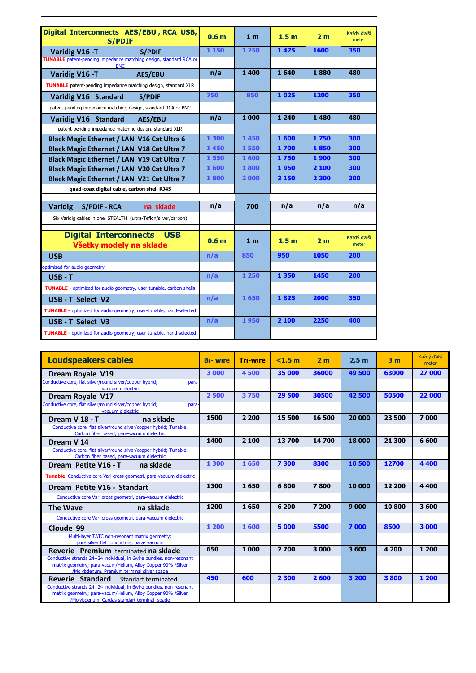| Digital Interconnects AES/EBU, RCA USB,                                                | 0.6 <sub>m</sub> | 1 <sub>m</sub> | 1.5 <sub>m</sub> | 2 <sub>m</sub> | Každý ďalší<br>meter |
|----------------------------------------------------------------------------------------|------------------|----------------|------------------|----------------|----------------------|
| <b>S/PDIF</b>                                                                          |                  |                |                  |                |                      |
| Varidig V16 - T<br><b>S/PDIF</b>                                                       | 1 150            | 1 250          | 1425             | 1600           | 350                  |
| <b>TUNABLE</b> patent-pending impedance matching design, standard RCA or<br><b>BNC</b> |                  |                |                  |                |                      |
| Varidig V16 - T<br><b>AES/EBU</b>                                                      | n/a              | 1 400          | 1640             | 1880           | 480                  |
| <b>TUNABLE</b> patent-pending impedance matching design, standard XLR                  |                  |                |                  |                |                      |
| Varidig V16 Standard<br><b>S/PDIF</b>                                                  | 750              | 850            | 1025             | 1200           | 350                  |
| patent-pending impedance matching design, standard RCA or BNC                          |                  |                |                  |                |                      |
| <b>Varidig V16 Standard</b><br><b>AES/EBU</b>                                          | n/a              | 1 000          | 1 2 4 0          | 1 4 8 0        | 480                  |
| patent-pending impedance matching design, standard XLR                                 |                  |                |                  |                |                      |
| Black Magic Ethernet / LAN V16 Cat Ultra 6                                             | 1 300            | 1450           | 1600             | 1750           | 300                  |
| Black Magic Ethernet / LAN V18 Cat Ultra 7                                             | 1450             | 1550           | 1700             | 1850           | 300                  |
| Black Magic Ethernet / LAN V19 Cat Ultra 7                                             | 1550             | 1 600          | 1750             | 1900           | 300                  |
| Black Magic Ethernet / LAN V20 Cat Ultra 7                                             | 1600             | 1800           | 1950             | 2 100          | 300                  |
| Black Magic Ethernet / LAN V21 Cat Ultra 7                                             | 1800             | 2000           | 2 150            | 2 300          | 300                  |
| quad-coax digital cable, carbon shell RJ45                                             |                  |                |                  |                |                      |
|                                                                                        |                  |                |                  |                |                      |
| <b>Varidig</b><br><b>S/PDIF - RCA</b><br>na sklade                                     | n/a              | 700            | n/a              | n/a            | n/a                  |
| Six Varidig cables in one, STEALTH (ultra-Teflon/silver/carbon)                        |                  |                |                  |                |                      |
|                                                                                        |                  |                |                  |                |                      |
| <b>Digital Interconnects USB</b><br>Všetky modely na sklade                            | 0.6 <sub>m</sub> | 1 <sub>m</sub> | 1.5 <sub>m</sub> | 2 <sub>m</sub> | Každý ďalší<br>meter |
| <b>USB</b>                                                                             | n/a              | 850            | 950              | 1050           | 200                  |
| optimized for audio geometry                                                           |                  |                |                  |                |                      |
| $USB - T$                                                                              | n/a              | 1 250          | 1 3 5 0          | 1450           | 200                  |
| TUNABLE - optimized for audio geometry, user-tunable, carbon shells                    |                  |                |                  |                |                      |
| USB - T Select V2                                                                      | n/a              | 1650           | 1825             | 2000           | 350                  |
| <b>TUNABLE</b> - optimized for audio geometry, user-tunable, hand-selected             |                  |                |                  |                |                      |
| USB-T Select V3                                                                        | n/a              | 1950           | 2 100            | 2250           | 400                  |
| TUNABLE - optimized for audio geometry, user-tunable, hand-selected                    |                  |                |                  |                |                      |

| <b>Loudspeakers cables</b>                                                                                                                                                         | <b>Bi-wire</b> | <b>Tri-wire</b> | $<$ 1.5 $m$ | 2 <sub>m</sub> | 2.5 <sub>m</sub> | 3 <sub>m</sub> | Každý ďalší<br>meter |
|------------------------------------------------------------------------------------------------------------------------------------------------------------------------------------|----------------|-----------------|-------------|----------------|------------------|----------------|----------------------|
| Dream Royale V19                                                                                                                                                                   | 3 000          | 4500            | 35 000      | 36000          | 49 500           | 63000          | 27 000               |
| Conductive core, flat silver/round silver/copper hybrid;<br>para-<br>vacuum dielectric                                                                                             |                |                 |             |                |                  |                |                      |
| Dream Royale V17                                                                                                                                                                   | 2500           | 3750            | 29 500      | 30500          | 42 500           | 50500          | 22 000               |
| Conductive core, flat silver/round silver/copper hybrid;<br>para-<br>vacuum dielectric                                                                                             |                |                 |             |                |                  |                |                      |
| na sklade<br>Dream V 18 - T                                                                                                                                                        | 1500           | 2 2 0 0         | 15 500      | 16 500         | 20 000           | 23 500         | 7000                 |
| Conductive core, flat silver/round silver/copper hybrid; Tunable.<br>Carbon fiber based, para-vacuum dielectric                                                                    |                |                 |             |                |                  |                |                      |
| Dream V 14                                                                                                                                                                         | 1400           | 2 100           | 13700       | 14700          | 18 000           | 21 300         | 6 600                |
| Conductive core, flat silver/round silver/copper hybrid; Tunable.<br>Carbon fiber based, para-vacuum dielectric                                                                    |                |                 |             |                |                  |                |                      |
| Dream Petite V16 - T<br>na sklade                                                                                                                                                  | 1 300          | 1650            | 7 300       | 8300           | 10 500           | 12700          | 4 4 0 0              |
| Tunable Conductive core Vari cross geometri, para-vacuum dielectric                                                                                                                |                |                 |             |                |                  |                |                      |
| Dream Petite V16 - Standart                                                                                                                                                        | 1300           | 1650            | 6800        | 7800           | 10 000           | 12 200         | 4 4 0 0              |
| Conductive core Vari cross geometri, para-vacuum dielectric                                                                                                                        |                |                 |             |                |                  |                |                      |
| na sklade<br><b>The Wave</b>                                                                                                                                                       | 1200           | 1650            | 6 200       | 7 200          | 9000             | 10800          | 3600                 |
| Conductive core Vari cross geometri, para-vacuum dielectric                                                                                                                        |                |                 |             |                |                  |                |                      |
| Cloude 99                                                                                                                                                                          | 1 200          | 1600            | 5 000       | 5500           | 7000             | 8500           | 3 000                |
| Multi-layer TATC non-resonant matrix geometry;<br>pure silver flat conductors, para- vacuum                                                                                        |                |                 |             |                |                  |                |                      |
| <b>Reverie</b> Premium terminated na sklade                                                                                                                                        | 650            | 1 000           | 2700        | 3 000          | 3600             | 4 200          | 1 200                |
| Conductive strands 24+24 individual, in 6wire bundles, non-resonant<br>matrix geometry; para-vacum/Helium, Alloy Copper 90% /Silver<br>/Molvbdenum, Premium terminal silver spade  |                |                 |             |                |                  |                |                      |
| Reverie Standard<br>Standart terminated                                                                                                                                            | 450            | 600             | 2 3 0 0     | 2600           | 3 200            | 3800           | 1 200                |
| Conductive strands 24+24 individual, in 6wire bundles, non-resonant<br>matrix geometry; para-vacum/Helium, Alloy Copper 90% /Silver<br>/Molvbdenum, Cardas standart terminal spade |                |                 |             |                |                  |                |                      |